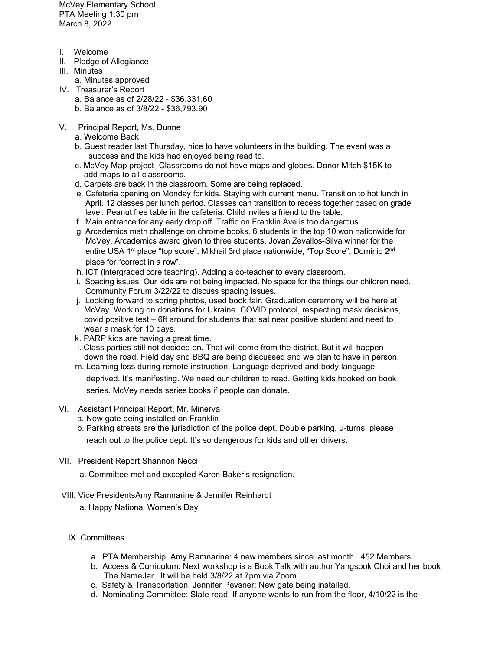McVey Elementary School PTA Meeting 1:30 pm March 8, 2022

- I. Welcome
- II. Pledge of Allegiance
- III. Minutes
- a. Minutes approved
- IV. Treasurer's Report
	- a. Balance as of 2/28/22 \$36,331.60
	- b. Balance as of 3/8/22 \$36,793.90
- V. Principal Report, Ms. Dunne
	- a. Welcome Back
	- b. Guest reader last Thursday, nice to have volunteers in the building. The event was a success and the kids had enjoyed being read to.
	- c. McVey Map project- Classrooms do not have maps and globes. Donor Mitch \$15K to add maps to all classrooms.
	- d. Carpets are back in the classroom. Some are being replaced.
	- e. Cafeteria opening on Monday for kids. Staying with current menu. Transition to hot lunch in April. 12 classes per lunch period. Classes can transition to recess together based on grade level. Peanut free table in the cafeteria. Child invites a friend to the table.
	- f. Main entrance for any early drop off. Traffic on Franklin Ave is too dangerous.
	- g. Arcademics math challenge on chrome books. 6 students in the top 10 won nationwide for McVey. Arcademics award given to three students, Jovan Zevallos-Silva winner for the entire USA 1<sup>st</sup> place "top score", Mikhail 3rd place nationwide, "Top Score", Dominic 2<sup>nd</sup> place for "correct in a row".
	- h. ICT (intergraded core teaching). Adding a co-teacher to every classroom.
	- i. Spacing issues. Our kids are not being impacted. No space for the things our children need. Community Forum 3/22/22 to discuss spacing issues.
	- j. Looking forward to spring photos, used book fair. Graduation ceremony will be here at McVey. Working on donations for Ukraine. COVID protocol, respecting mask decisions, covid positive test – 6ft around for students that sat near positive student and need to wear a mask for 10 days.
	- k. PARP kids are having a great time.
	- l. Class parties still not decided on. That will come from the district. But it will happen down the road. Field day and BBQ are being discussed and we plan to have in person.
	- m. Learning loss during remote instruction. Language deprived and body language

 deprived. It's manifesting. We need our children to read. Getting kids hooked on book series. McVey needs series books if people can donate.

- VI. Assistant Principal Report, Mr. Minerva
	- a. New gate being installed on Franklin
	- b. Parking streets are the jurisdiction of the police dept. Double parking, u-turns, please reach out to the police dept. It's so dangerous for kids and other drivers.
- VII. President Report Shannon Necci
	- a. Committee met and excepted Karen Baker's resignation.
- VIII. Vice PresidentsAmy Ramnarine & Jennifer Reinhardt
	- a. Happy National Women's Day
	- IX. Committees
		- a. PTA Membership: Amy Ramnarine: 4 new members since last month. 452 Members.
		- b. Access & Curriculum: Next workshop is a Book Talk with author Yangsook Choi and her book The NameJar. It will be held 3/8/22 at 7pm via Zoom.
		- c. Safety & Transportation: Jennifer Pevsner: New gate being installed.
		- d. Nominating Committee: Slate read. If anyone wants to run from the floor, 4/10/22 is the